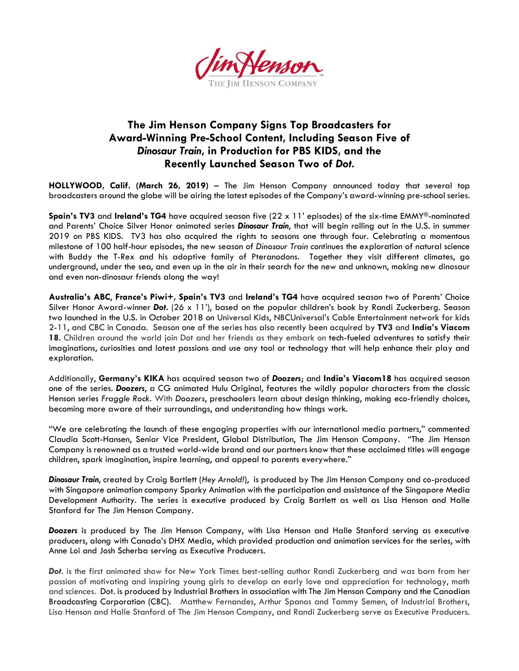

## **The Jim Henson Company Signs Top Broadcasters for Award-Winning Pre-School Content, Including Season Five of**  *Dinosaur Train***, in Production for PBS KIDS, and the Recently Launched Season Two of** *Dot.*

**HOLLYWOOD, Calif. (March 26, 2019)** – The Jim Henson Company announced today that several top broadcasters around the globe will be airing the latest episodes of the Company's award-winning pre-school series.

**Spain's TV3** and **Ireland's TG4** have acquired season five (22 x 11' episodes) of the six-time EMMY®-nominated and Parents' Choice Silver Honor animated series *Dinosaur Train*, that will begin rolling out in the U.S. in summer 2019 on PBS KIDS. TV3 has also acquired the rights to seasons one through four. Celebrating a momentous milestone of 100 half-hour episodes, the new season of *Dinosaur Train* continues the exploration of natural science with Buddy the T-Rex and his adoptive family of Pteranodons. Together they visit different climates, go underground, under the sea, and even up in the air in their search for the new and unknown, making new dinosaur and even non-dinosaur friends along the way!

**Australia's ABC**, **France's Piwi+, Spain's TV3** and **Ireland's TG4** have acquired season two of Parents' Choice Silver Honor Award-winner *Dot.* (26 x 11'), based on the popular children's book by Randi Zuckerberg. Season two launched in the U.S. in October 2018 on Universal Kids, NBCUniversal's Cable Entertainment network for kids 2-11, and CBC in Canada. Season one of the series has also recently been acquired by **TV3** and **India's Viacom 18**. Children around the world join Dot and her friends as they embark on tech-fueled adventures to satisfy their imaginations, curiosities and latest passions and use any tool or technology that will help enhance their play and exploration.

Additionally, **Germany's KIKA** has acquired season two of *Doozers*; and **India's Viacom18** has acquired season one of the series. *Doozers*, a CG animated Hulu Original, features the wildly popular characters from the classic Henson series *Fraggle Rock.* With *Doozers*, preschoolers learn about design thinking, making eco-friendly choices, becoming more aware of their surroundings, and understanding how things work.

"We are celebrating the launch of these engaging properties with our international media partners," commented Claudia Scott-Hansen, Senior Vice President, Global Distribution, The Jim Henson Company. "The Jim Henson Company is renowned as a trusted world-wide brand and our partners know that these acclaimed titles will engage children, spark imagination, inspire learning, and appeal to parents everywhere."

*Dinosaur Train*, created by Craig Bartlett (*Hey Arnold!*), is produced by The Jim Henson Company and co-produced with Singapore animation company Sparky Animation with the participation and assistance of the Singapore Media Development Authority. The series is executive produced by Craig Bartlett as well as Lisa Henson and Halle Stanford for The Jim Henson Company.

*Doozers* is produced by The Jim Henson Company, with Lisa Henson and Halle Stanford serving as executive producers, along with Canada's DHX Media, which provided production and animation services for the series, with Anne Loi and Josh Scherba serving as Executive Producers.

*Dot*. is the first animated show for New York Times best-selling author Randi Zuckerberg and was born from her passion of motivating and inspiring young girls to develop an early love and appreciation for technology, math and sciences. Dot. is produced by Industrial Brothers in association with The Jim Henson Company and the Canadian Broadcasting Corporation (CBC). Matthew Fernandes, Arthur Spanos and Tammy Semen, of Industrial Brothers, Lisa Henson and Halle Stanford of The Jim Henson Company, and Randi Zuckerberg serve as Executive Producers.